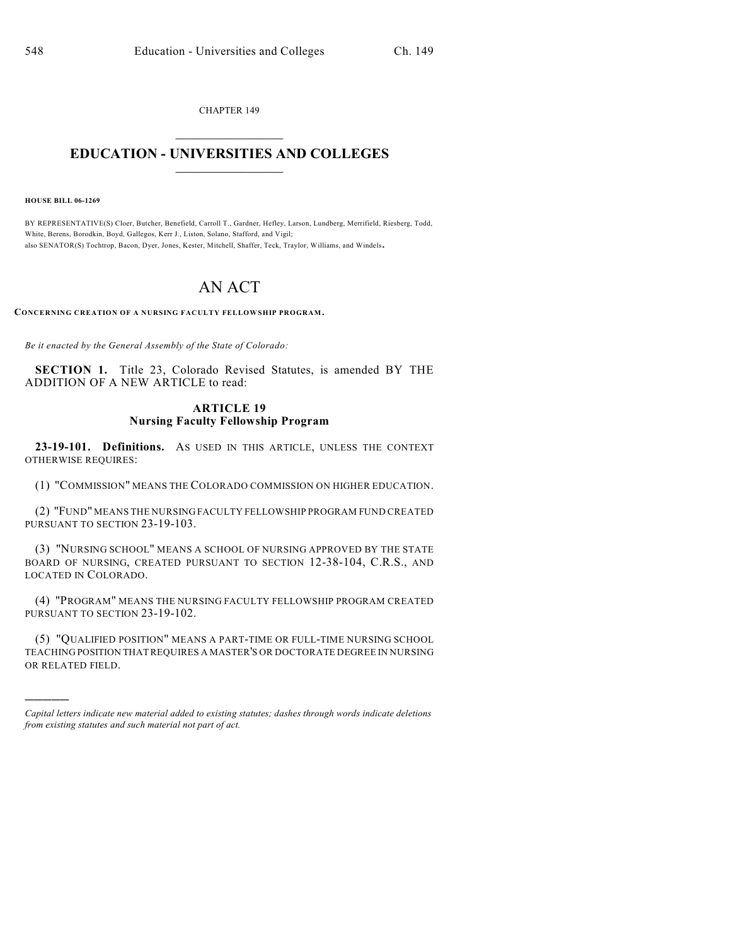CHAPTER 149  $\mathcal{L}_\text{max}$  . The set of the set of the set of the set of the set of the set of the set of the set of the set of the set of the set of the set of the set of the set of the set of the set of the set of the set of the set

## **EDUCATION - UNIVERSITIES AND COLLEGES**  $\_$

**HOUSE BILL 06-1269**

)))))

BY REPRESENTATIVE(S) Cloer, Butcher, Benefield, Carroll T., Gardner, Hefley, Larson, Lundberg, Merrifield, Riesberg, Todd, White, Berens, Borodkin, Boyd, Gallegos, Kerr J., Liston, Solano, Stafford, and Vigil; also SENATOR(S) Tochtrop, Bacon, Dyer, Jones, Kester, Mitchell, Shaffer, Teck, Traylor, Williams, and Windels.

## AN ACT

**CONCERNING CREATION OF A NURSING FACULTY FELLOWSHIP PROGRAM.**

*Be it enacted by the General Assembly of the State of Colorado:*

**SECTION 1.** Title 23, Colorado Revised Statutes, is amended BY THE ADDITION OF A NEW ARTICLE to read:

## **ARTICLE 19 Nursing Faculty Fellowship Program**

**23-19-101. Definitions.** AS USED IN THIS ARTICLE, UNLESS THE CONTEXT OTHERWISE REQUIRES:

(1) "COMMISSION" MEANS THE COLORADO COMMISSION ON HIGHER EDUCATION.

(2) "FUND" MEANS THE NURSING FACULTY FELLOWSHIP PROGRAM FUND CREATED PURSUANT TO SECTION 23-19-103.

(3) "NURSING SCHOOL" MEANS A SCHOOL OF NURSING APPROVED BY THE STATE BOARD OF NURSING, CREATED PURSUANT TO SECTION 12-38-104, C.R.S., AND LOCATED IN COLORADO.

(4) "PROGRAM" MEANS THE NURSING FACULTY FELLOWSHIP PROGRAM CREATED PURSUANT TO SECTION 23-19-102.

(5) "QUALIFIED POSITION" MEANS A PART-TIME OR FULL-TIME NURSING SCHOOL TEACHING POSITION THAT REQUIRES A MASTER'S OR DOCTORATE DEGREE IN NURSING OR RELATED FIELD.

*Capital letters indicate new material added to existing statutes; dashes through words indicate deletions from existing statutes and such material not part of act.*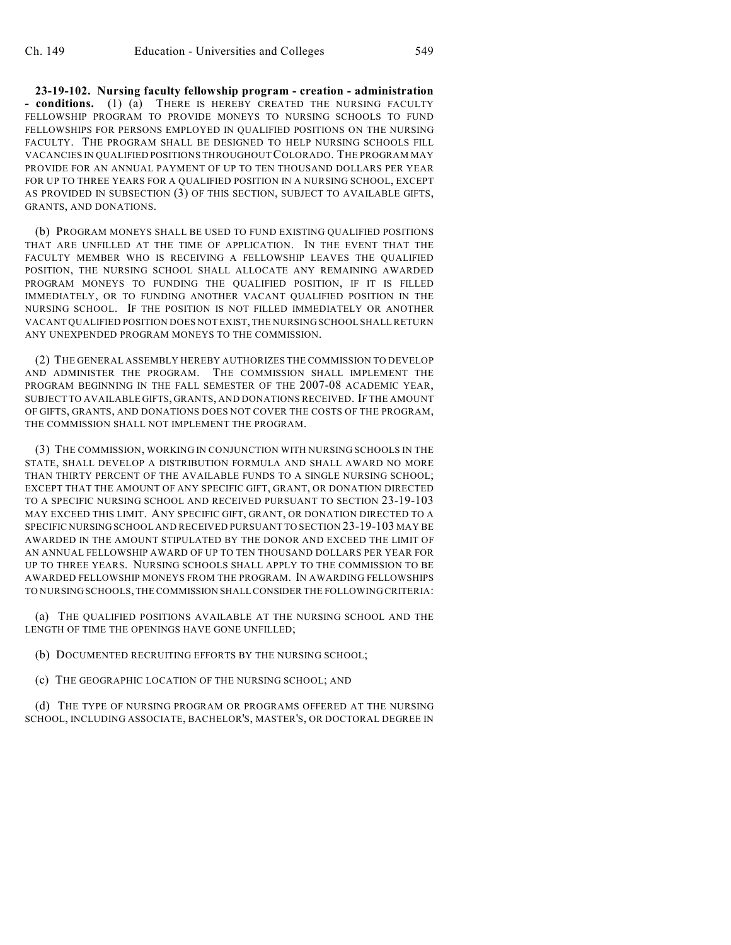**23-19-102. Nursing faculty fellowship program - creation - administration - conditions.** (1) (a) THERE IS HEREBY CREATED THE NURSING FACULTY FELLOWSHIP PROGRAM TO PROVIDE MONEYS TO NURSING SCHOOLS TO FUND FELLOWSHIPS FOR PERSONS EMPLOYED IN QUALIFIED POSITIONS ON THE NURSING FACULTY. THE PROGRAM SHALL BE DESIGNED TO HELP NURSING SCHOOLS FILL VACANCIES IN QUALIFIED POSITIONS THROUGHOUT COLORADO. THE PROGRAM MAY PROVIDE FOR AN ANNUAL PAYMENT OF UP TO TEN THOUSAND DOLLARS PER YEAR FOR UP TO THREE YEARS FOR A QUALIFIED POSITION IN A NURSING SCHOOL, EXCEPT AS PROVIDED IN SUBSECTION (3) OF THIS SECTION, SUBJECT TO AVAILABLE GIFTS, GRANTS, AND DONATIONS.

(b) PROGRAM MONEYS SHALL BE USED TO FUND EXISTING QUALIFIED POSITIONS THAT ARE UNFILLED AT THE TIME OF APPLICATION. IN THE EVENT THAT THE FACULTY MEMBER WHO IS RECEIVING A FELLOWSHIP LEAVES THE QUALIFIED POSITION, THE NURSING SCHOOL SHALL ALLOCATE ANY REMAINING AWARDED PROGRAM MONEYS TO FUNDING THE QUALIFIED POSITION, IF IT IS FILLED IMMEDIATELY, OR TO FUNDING ANOTHER VACANT QUALIFIED POSITION IN THE NURSING SCHOOL. IF THE POSITION IS NOT FILLED IMMEDIATELY OR ANOTHER VACANT QUALIFIED POSITION DOES NOT EXIST, THE NURSING SCHOOL SHALL RETURN ANY UNEXPENDED PROGRAM MONEYS TO THE COMMISSION.

(2) THE GENERAL ASSEMBLY HEREBY AUTHORIZES THE COMMISSION TO DEVELOP AND ADMINISTER THE PROGRAM. THE COMMISSION SHALL IMPLEMENT THE PROGRAM BEGINNING IN THE FALL SEMESTER OF THE 2007-08 ACADEMIC YEAR, SUBJECT TO AVAILABLE GIFTS, GRANTS, AND DONATIONS RECEIVED. IF THE AMOUNT OF GIFTS, GRANTS, AND DONATIONS DOES NOT COVER THE COSTS OF THE PROGRAM, THE COMMISSION SHALL NOT IMPLEMENT THE PROGRAM.

(3) THE COMMISSION, WORKING IN CONJUNCTION WITH NURSING SCHOOLS IN THE STATE, SHALL DEVELOP A DISTRIBUTION FORMULA AND SHALL AWARD NO MORE THAN THIRTY PERCENT OF THE AVAILABLE FUNDS TO A SINGLE NURSING SCHOOL; EXCEPT THAT THE AMOUNT OF ANY SPECIFIC GIFT, GRANT, OR DONATION DIRECTED TO A SPECIFIC NURSING SCHOOL AND RECEIVED PURSUANT TO SECTION 23-19-103 MAY EXCEED THIS LIMIT. ANY SPECIFIC GIFT, GRANT, OR DONATION DIRECTED TO A SPECIFIC NURSING SCHOOL AND RECEIVED PURSUANT TO SECTION 23-19-103 MAY BE AWARDED IN THE AMOUNT STIPULATED BY THE DONOR AND EXCEED THE LIMIT OF AN ANNUAL FELLOWSHIP AWARD OF UP TO TEN THOUSAND DOLLARS PER YEAR FOR UP TO THREE YEARS. NURSING SCHOOLS SHALL APPLY TO THE COMMISSION TO BE AWARDED FELLOWSHIP MONEYS FROM THE PROGRAM. IN AWARDING FELLOWSHIPS TO NURSING SCHOOLS, THE COMMISSION SHALL CONSIDER THE FOLLOWING CRITERIA:

(a) THE QUALIFIED POSITIONS AVAILABLE AT THE NURSING SCHOOL AND THE LENGTH OF TIME THE OPENINGS HAVE GONE UNFILLED;

(b) DOCUMENTED RECRUITING EFFORTS BY THE NURSING SCHOOL;

(c) THE GEOGRAPHIC LOCATION OF THE NURSING SCHOOL; AND

(d) THE TYPE OF NURSING PROGRAM OR PROGRAMS OFFERED AT THE NURSING SCHOOL, INCLUDING ASSOCIATE, BACHELOR'S, MASTER'S, OR DOCTORAL DEGREE IN